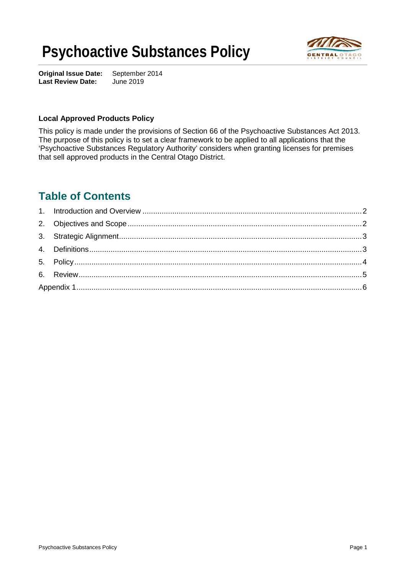# **Psychoactive Substances Policy**



**Original Issue Date:** September 2014<br>**Last Review Date:** June 2019 **Last Review Date:** 

#### **Local Approved Products Policy**

This policy is made under the provisions of Section 66 of the Psychoactive Substances Act 2013. The purpose of this policy is to set a clear framework to be applied to all applications that the 'Psychoactive Substances Regulatory Authority' considers when granting licenses for premises that sell approved products in the Central Otago District.

### **Table of Contents**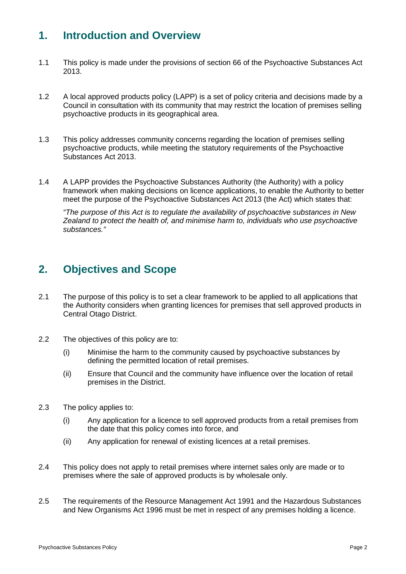# **1. Introduction and Overview**

- 1.1 This policy is made under the provisions of section 66 of the Psychoactive Substances Act 2013.
- 1.2 A local approved products policy (LAPP) is a set of policy criteria and decisions made by a Council in consultation with its community that may restrict the location of premises selling psychoactive products in its geographical area.
- 1.3 This policy addresses community concerns regarding the location of premises selling psychoactive products, while meeting the statutory requirements of the Psychoactive Substances Act 2013.
- 1.4 A LAPP provides the Psychoactive Substances Authority (the Authority) with a policy framework when making decisions on licence applications, to enable the Authority to better meet the purpose of the Psychoactive Substances Act 2013 (the Act) which states that:

*"The purpose of this Act is to regulate the availability of psychoactive substances in New Zealand to protect the health of, and minimise harm to, individuals who use psychoactive substances."*

### **2. Objectives and Scope**

- 2.1 The purpose of this policy is to set a clear framework to be applied to all applications that the Authority considers when granting licences for premises that sell approved products in Central Otago District.
- 2.2 The objectives of this policy are to:
	- (i) Minimise the harm to the community caused by psychoactive substances by defining the permitted location of retail premises.
	- (ii) Ensure that Council and the community have influence over the location of retail premises in the District.
- 2.3 The policy applies to:
	- (i) Any application for a licence to sell approved products from a retail premises from the date that this policy comes into force, and
	- (ii) Any application for renewal of existing licences at a retail premises.
- 2.4 This policy does not apply to retail premises where internet sales only are made or to premises where the sale of approved products is by wholesale only.
- 2.5 The requirements of the Resource Management Act 1991 and the Hazardous Substances and New Organisms Act 1996 must be met in respect of any premises holding a licence.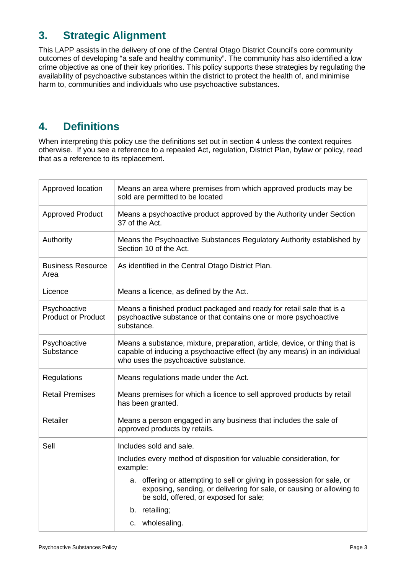# **3. Strategic Alignment**

This LAPP assists in the delivery of one of the Central Otago District Council's core community outcomes of developing "a safe and healthy community". The community has also identified a low crime objective as one of their key priorities. This policy supports these strategies by regulating the availability of psychoactive substances within the district to protect the health of, and minimise harm to, communities and individuals who use psychoactive substances.

# **4. Definitions**

When interpreting this policy use the definitions set out in section 4 unless the context requires otherwise. If you see a reference to a repealed Act, regulation, District Plan, bylaw or policy, read that as a reference to its replacement.

| Approved location                         | Means an area where premises from which approved products may be<br>sold are permitted to be located                                                                                            |
|-------------------------------------------|-------------------------------------------------------------------------------------------------------------------------------------------------------------------------------------------------|
| <b>Approved Product</b>                   | Means a psychoactive product approved by the Authority under Section<br>37 of the Act.                                                                                                          |
| Authority                                 | Means the Psychoactive Substances Regulatory Authority established by<br>Section 10 of the Act.                                                                                                 |
| <b>Business Resource</b><br>Area          | As identified in the Central Otago District Plan.                                                                                                                                               |
| Licence                                   | Means a licence, as defined by the Act.                                                                                                                                                         |
| Psychoactive<br><b>Product or Product</b> | Means a finished product packaged and ready for retail sale that is a<br>psychoactive substance or that contains one or more psychoactive<br>substance.                                         |
| Psychoactive<br>Substance                 | Means a substance, mixture, preparation, article, device, or thing that is<br>capable of inducing a psychoactive effect (by any means) in an individual<br>who uses the psychoactive substance. |
| Regulations                               | Means regulations made under the Act.                                                                                                                                                           |
| <b>Retail Premises</b>                    | Means premises for which a licence to sell approved products by retail<br>has been granted.                                                                                                     |
| Retailer                                  | Means a person engaged in any business that includes the sale of<br>approved products by retails.                                                                                               |
| Sell                                      | Includes sold and sale.                                                                                                                                                                         |
|                                           | Includes every method of disposition for valuable consideration, for<br>example:                                                                                                                |
|                                           | a. offering or attempting to sell or giving in possession for sale, or<br>exposing, sending, or delivering for sale, or causing or allowing to<br>be sold, offered, or exposed for sale;        |
|                                           | b. retailing;                                                                                                                                                                                   |
|                                           | c. wholesaling.                                                                                                                                                                                 |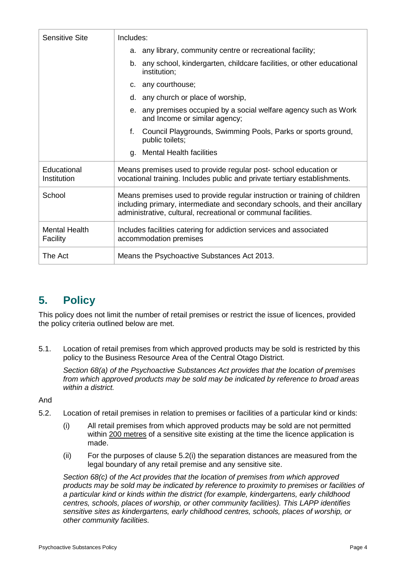| <b>Sensitive Site</b>            | Includes:                                                                                                                                                                                                                  |
|----------------------------------|----------------------------------------------------------------------------------------------------------------------------------------------------------------------------------------------------------------------------|
|                                  | a. any library, community centre or recreational facility;                                                                                                                                                                 |
|                                  | b. any school, kindergarten, childcare facilities, or other educational<br>institution;                                                                                                                                    |
|                                  | c. any courthouse;                                                                                                                                                                                                         |
|                                  | d. any church or place of worship,                                                                                                                                                                                         |
|                                  | e. any premises occupied by a social welfare agency such as Work<br>and Income or similar agency;                                                                                                                          |
|                                  | Council Playgrounds, Swimming Pools, Parks or sports ground,<br>f.<br>public toilets;                                                                                                                                      |
|                                  | <b>Mental Health facilities</b><br>q.                                                                                                                                                                                      |
| Educational<br>Institution       | Means premises used to provide regular post-school education or<br>vocational training. Includes public and private tertiary establishments.                                                                               |
| School                           | Means premises used to provide regular instruction or training of children<br>including primary, intermediate and secondary schools, and their ancillary<br>administrative, cultural, recreational or communal facilities. |
| <b>Mental Health</b><br>Facility | Includes facilities catering for addiction services and associated<br>accommodation premises                                                                                                                               |
| The Act                          | Means the Psychoactive Substances Act 2013.                                                                                                                                                                                |

# **5. Policy**

This policy does not limit the number of retail premises or restrict the issue of licences, provided the policy criteria outlined below are met.

5.1. Location of retail premises from which approved products may be sold is restricted by this policy to the Business Resource Area of the Central Otago District.

*Section 68(a) of the Psychoactive Substances Act provides that the location of premises from which approved products may be sold may be indicated by reference to broad areas within a district.*

And

- 5.2. Location of retail premises in relation to premises or facilities of a particular kind or kinds:
	- (i) All retail premises from which approved products may be sold are not permitted within 200 metres of a sensitive site existing at the time the licence application is made.
	- (ii) For the purposes of clause 5.2(i) the separation distances are measured from the legal boundary of any retail premise and any sensitive site.

*Section 68(c) of the Act provides that the location of premises from which approved products may be sold may be indicated by reference to proximity to premises or facilities of a particular kind or kinds within the district (for example, kindergartens, early childhood centres, schools, places of worship, or other community facilities). This LAPP identifies sensitive sites as kindergartens, early childhood centres, schools, places of worship, or other community facilities.*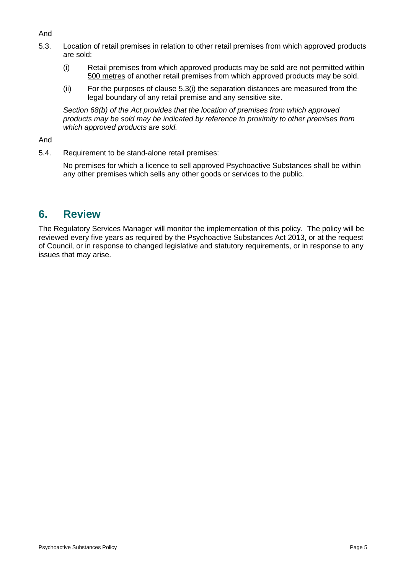#### And

- 5.3. Location of retail premises in relation to other retail premises from which approved products are sold:
	- (i) Retail premises from which approved products may be sold are not permitted within 500 metres of another retail premises from which approved products may be sold.
	- (ii) For the purposes of clause 5.3(i) the separation distances are measured from the legal boundary of any retail premise and any sensitive site.

*Section 68(b) of the Act provides that the location of premises from which approved products may be sold may be indicated by reference to proximity to other premises from which approved products are sold.*

#### And

5.4. Requirement to be stand-alone retail premises:

No premises for which a licence to sell approved Psychoactive Substances shall be within any other premises which sells any other goods or services to the public.

### **6. Review**

The Regulatory Services Manager will monitor the implementation of this policy. The policy will be reviewed every five years as required by the Psychoactive Substances Act 2013, or at the request of Council, or in response to changed legislative and statutory requirements, or in response to any issues that may arise.